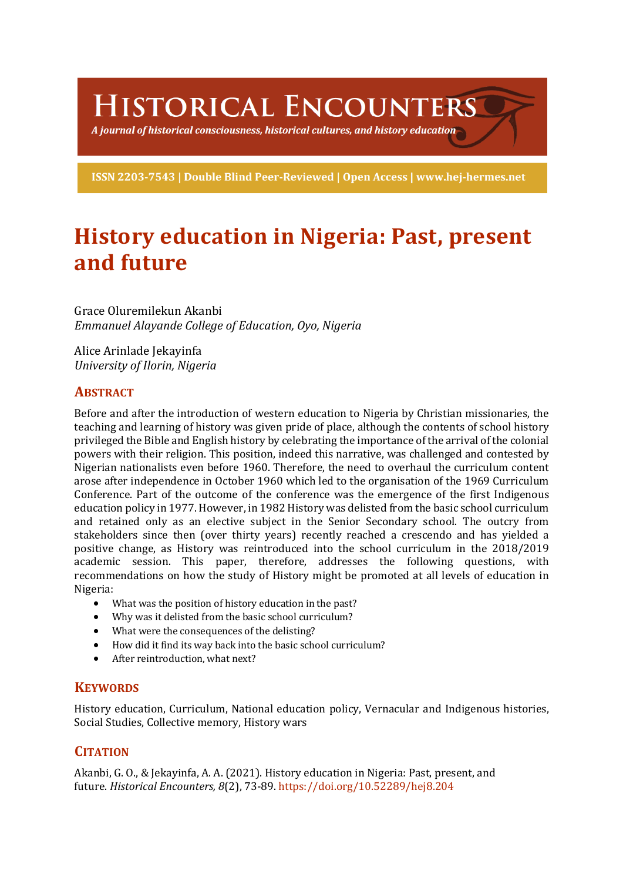HISTORICAL ENCOUNTERS

A journal of historical consciousness, historical cultures, and history education  $\geq$ 

ISSN 2203-7543 | Double Blind Peer-Reviewed | Open Access | www.hej-hermes.net

# **History education in Nigeria: Past, present and future**

Grace Oluremilekun Akanbi *Emmanuel Alayande College of Education, Oyo, Nigeria*

Alice Arinlade Jekavinfa *University of Ilorin, Nigeria*

## **ABSTRACT**

Before and after the introduction of western education to Nigeria by Christian missionaries, the teaching and learning of history was given pride of place, although the contents of school history privileged the Bible and English history by celebrating the importance of the arrival of the colonial powers with their religion. This position, indeed this narrative, was challenged and contested by Nigerian nationalists even before 1960. Therefore, the need to overhaul the curriculum content arose after independence in October 1960 which led to the organisation of the 1969 Curriculum Conference. Part of the outcome of the conference was the emergence of the first Indigenous education policy in 1977. However, in 1982 History was delisted from the basic school curriculum and retained only as an elective subject in the Senior Secondary school. The outcry from stakeholders since then (over thirty years) recently reached a crescendo and has yielded a positive change, as History was reintroduced into the school curriculum in the 2018/2019 academic session. This paper, therefore, addresses the following questions, with recommendations on how the study of History might be promoted at all levels of education in Nigeria: 

- What was the position of history education in the past?
- Why was it delisted from the basic school curriculum?
- What were the consequences of the delisting?
- How did it find its way back into the basic school curriculum?
- After reintroduction, what next?

## **KEYWORDS**

History education, Curriculum, National education policy, Vernacular and Indigenous histories, Social Studies, Collective memory, History wars

## **CITATION**

Akanbi, G. O., & Jekayinfa, A. A. (2021). History education in Nigeria: Past, present, and future. *Historical Encounters, 8*(2), 73-89. https://doi.org/10.52289/hej8.204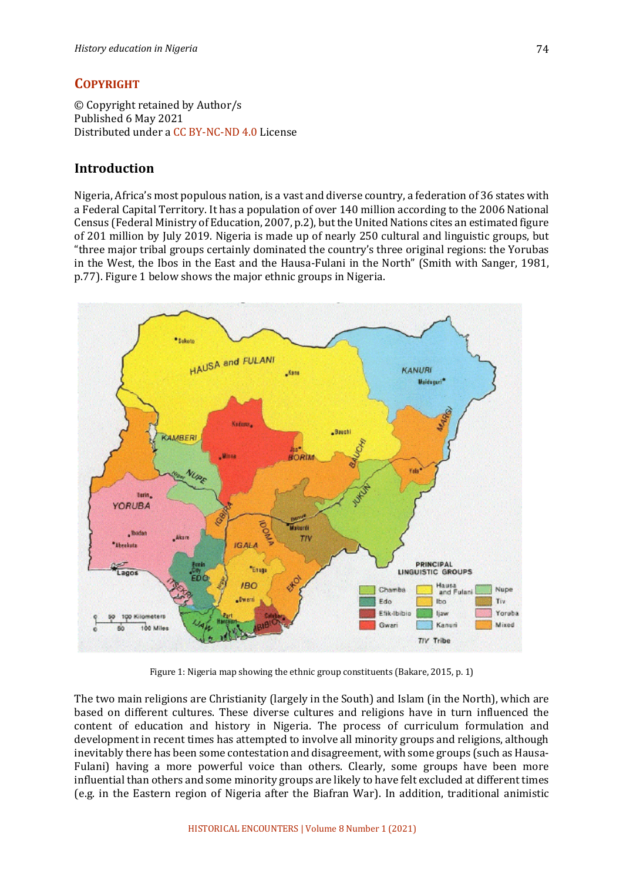## **COPYRIGHT**

© Copyright retained by Author/s Published 6 May 2021 Distributed under a CC BY-NC-ND 4.0 License

## **Introduction**

Nigeria, Africa's most populous nation, is a vast and diverse country, a federation of 36 states with a Federal Capital Territory. It has a population of over 140 million according to the 2006 National Census (Federal Ministry of Education, 2007, p.2), but the United Nations cites an estimated figure of 201 million by July 2019. Nigeria is made up of nearly 250 cultural and linguistic groups, but "three major tribal groups certainly dominated the country's three original regions: the Yorubas in the West, the Ibos in the East and the Hausa-Fulani in the North" (Smith with Sanger, 1981, p.77). Figure 1 below shows the major ethnic groups in Nigeria.



Figure 1: Nigeria map showing the ethnic group constituents (Bakare, 2015, p. 1)

The two main religions are Christianity (largely in the South) and Islam (in the North), which are based on different cultures. These diverse cultures and religions have in turn influenced the content of education and history in Nigeria. The process of curriculum formulation and development in recent times has attempted to involve all minority groups and religions, although inevitably there has been some contestation and disagreement, with some groups (such as Hausa-Fulani) having a more powerful voice than others. Clearly, some groups have been more influential than others and some minority groups are likely to have felt excluded at different times (e.g. in the Eastern region of Nigeria after the Biafran War). In addition, traditional animistic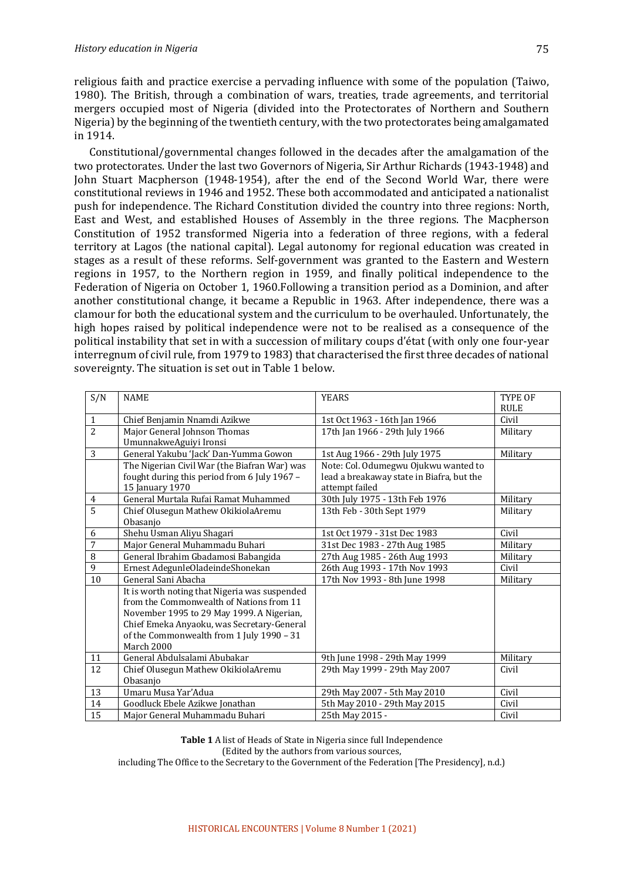religious faith and practice exercise a pervading influence with some of the population (Taiwo, 1980). The British, through a combination of wars, treaties, trade agreements, and territorial mergers occupied most of Nigeria (divided into the Protectorates of Northern and Southern Nigeria) by the beginning of the twentieth century, with the two protectorates being amalgamated in 1914.

Constitutional/governmental changes followed in the decades after the amalgamation of the two protectorates. Under the last two Governors of Nigeria, Sir Arthur Richards (1943-1948) and John Stuart Macpherson (1948-1954), after the end of the Second World War, there were constitutional reviews in 1946 and 1952. These both accommodated and anticipated a nationalist push for independence. The Richard Constitution divided the country into three regions: North, East and West, and established Houses of Assembly in the three regions. The Macpherson Constitution of 1952 transformed Nigeria into a federation of three regions, with a federal territory at Lagos (the national capital). Legal autonomy for regional education was created in stages as a result of these reforms. Self-government was granted to the Eastern and Western regions in 1957, to the Northern region in 1959, and finally political independence to the Federation of Nigeria on October 1, 1960. Following a transition period as a Dominion, and after another constitutional change, it became a Republic in 1963. After independence, there was a clamour for both the educational system and the curriculum to be overhauled. Unfortunately, the high hopes raised by political independence were not to be realised as a consequence of the political instability that set in with a succession of military coups d'état (with only one four-year interregnum of civil rule, from 1979 to 1983) that characterised the first three decades of national sovereignty. The situation is set out in Table 1 below.

| S/N            | <b>NAME</b>                                   | <b>YEARS</b>                              | <b>TYPE OF</b> |
|----------------|-----------------------------------------------|-------------------------------------------|----------------|
|                |                                               |                                           | <b>RULE</b>    |
| $\mathbf{1}$   | Chief Benjamin Nnamdi Azikwe                  | 1st Oct 1963 - 16th Jan 1966              | Civil          |
| $\overline{2}$ | Major General Johnson Thomas                  | 17th Jan 1966 - 29th July 1966            | Military       |
|                | UmunnakweAguiyi Ironsi                        |                                           |                |
| 3              | General Yakubu 'Jack' Dan-Yumma Gowon         | 1st Aug 1966 - 29th July 1975             | Military       |
|                | The Nigerian Civil War (the Biafran War) was  | Note: Col. Odumegwu Ojukwu wanted to      |                |
|                | fought during this period from 6 July 1967 -  | lead a breakaway state in Biafra, but the |                |
|                | 15 January 1970                               | attempt failed                            |                |
| 4              | General Murtala Rufai Ramat Muhammed          | 30th July 1975 - 13th Feb 1976            | Military       |
| 5              | Chief Olusegun Mathew OkikiolaAremu           | 13th Feb - 30th Sept 1979                 | Military       |
|                | Obasanjo                                      |                                           |                |
| 6              | Shehu Usman Aliyu Shagari                     | 1st Oct 1979 - 31st Dec 1983              | Civil          |
| 7              | Major General Muhammadu Buhari                | 31st Dec 1983 - 27th Aug 1985             | Military       |
| 8              | General Ibrahim Gbadamosi Babangida           | 27th Aug 1985 - 26th Aug 1993             | Military       |
| 9              | Ernest AdegunleOladeindeShonekan              | 26th Aug 1993 - 17th Nov 1993             | Civil          |
| 10             | General Sani Abacha                           | 17th Nov 1993 - 8th June 1998             | Military       |
|                | It is worth noting that Nigeria was suspended |                                           |                |
|                | from the Commonwealth of Nations from 11      |                                           |                |
|                | November 1995 to 29 May 1999. A Nigerian,     |                                           |                |
|                | Chief Emeka Anyaoku, was Secretary-General    |                                           |                |
|                | of the Commonwealth from 1 July 1990 - 31     |                                           |                |
|                | March 2000                                    |                                           |                |
| 11             | General Abdulsalami Abubakar                  | 9th June 1998 - 29th May 1999             | Military       |
| 12             | Chief Olusegun Mathew OkikiolaAremu           | 29th May 1999 - 29th May 2007             | Civil          |
|                | Obasanio                                      |                                           |                |
| 13             | Umaru Musa Yar'Adua                           | 29th May 2007 - 5th May 2010              | Civil          |
| 14             | Goodluck Ebele Azikwe Jonathan                | 5th May 2010 - 29th May 2015              | Civil          |
| 15             | Major General Muhammadu Buhari                | 25th May 2015 -                           | Civil          |

**Table 1** A list of Heads of State in Nigeria since full Independence

(Edited by the authors from various sources,

including The Office to the Secretary to the Government of the Federation [The Presidency], n.d.)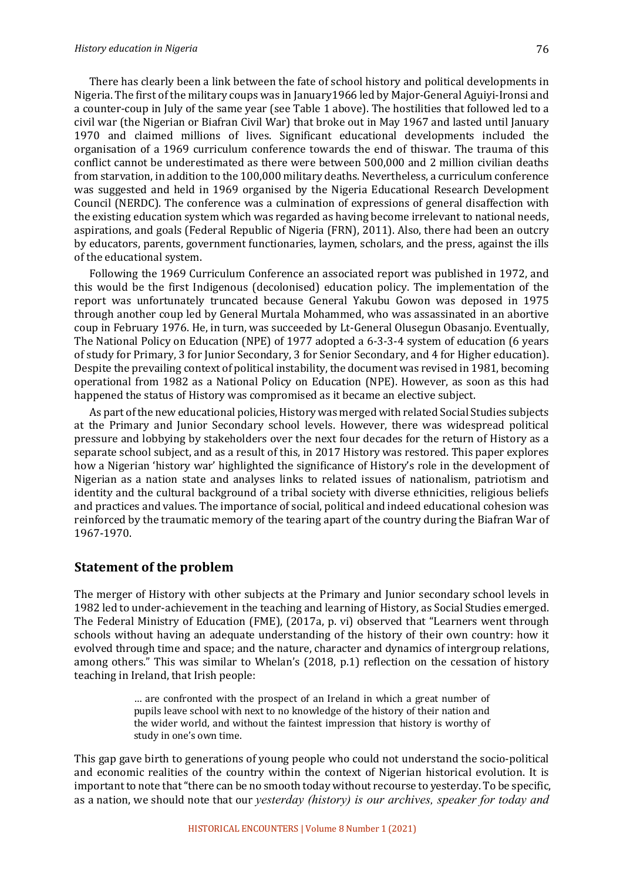#### *History education in Nigeria*

There has clearly been a link between the fate of school history and political developments in Nigeria. The first of the military coups was in January1966 led by Major-General Aguiyi-Ironsi and a counter-coup in July of the same year (see Table 1 above). The hostilities that followed led to a civil war (the Nigerian or Biafran Civil War) that broke out in May 1967 and lasted until January 1970 and claimed millions of lives. Significant educational developments included the organisation of a 1969 curriculum conference towards the end of thiswar. The trauma of this conflict cannot be underestimated as there were between 500,000 and 2 million civilian deaths from starvation, in addition to the 100,000 military deaths. Nevertheless, a curriculum conference was suggested and held in 1969 organised by the Nigeria Educational Research Development Council (NERDC). The conference was a culmination of expressions of general disaffection with the existing education system which was regarded as having become irrelevant to national needs, aspirations, and goals (Federal Republic of Nigeria (FRN), 2011). Also, there had been an outcry by educators, parents, government functionaries, laymen, scholars, and the press, against the ills of the educational system.

Following the 1969 Curriculum Conference an associated report was published in 1972, and this would be the first Indigenous (decolonised) education policy. The implementation of the report was unfortunately truncated because General Yakubu Gowon was deposed in 1975 through another coup led by General Murtala Mohammed, who was assassinated in an abortive coup in February 1976. He, in turn, was succeeded by Lt-General Olusegun Obasanjo. Eventually, The National Policy on Education (NPE) of 1977 adopted a 6-3-3-4 system of education (6 years of study for Primary, 3 for Junior Secondary, 3 for Senior Secondary, and 4 for Higher education). Despite the prevailing context of political instability, the document was revised in 1981, becoming operational from 1982 as a National Policy on Education (NPE). However, as soon as this had happened the status of History was compromised as it became an elective subject.

As part of the new educational policies, History was merged with related Social Studies subjects at the Primary and Junior Secondary school levels. However, there was widespread political pressure and lobbying by stakeholders over the next four decades for the return of History as a separate school subject, and as a result of this, in 2017 History was restored. This paper explores how a Nigerian 'history war' highlighted the significance of History's role in the development of Nigerian as a nation state and analyses links to related issues of nationalism, patriotism and identity and the cultural background of a tribal society with diverse ethnicities, religious beliefs and practices and values. The importance of social, political and indeed educational cohesion was reinforced by the traumatic memory of the tearing apart of the country during the Biafran War of 1967-1970. 

## **Statement of the problem**

The merger of History with other subjects at the Primary and Junior secondary school levels in 1982 led to under-achievement in the teaching and learning of History, as Social Studies emerged. The Federal Ministry of Education (FME), (2017a, p. vi) observed that "Learners went through schools without having an adequate understanding of the history of their own country: how it evolved through time and space; and the nature, character and dynamics of intergroup relations, among others." This was similar to Whelan's  $(2018, p.1)$  reflection on the cessation of history teaching in Ireland, that Irish people:

> ... are confronted with the prospect of an Ireland in which a great number of pupils leave school with next to no knowledge of the history of their nation and the wider world, and without the faintest impression that history is worthy of study in one's own time.

This gap gave birth to generations of young people who could not understand the socio-political and economic realities of the country within the context of Nigerian historical evolution. It is important to note that "there can be no smooth today without recourse to yesterday. To be specific, as a nation, we should note that our *yesterday (history)* is our archives, speaker for today and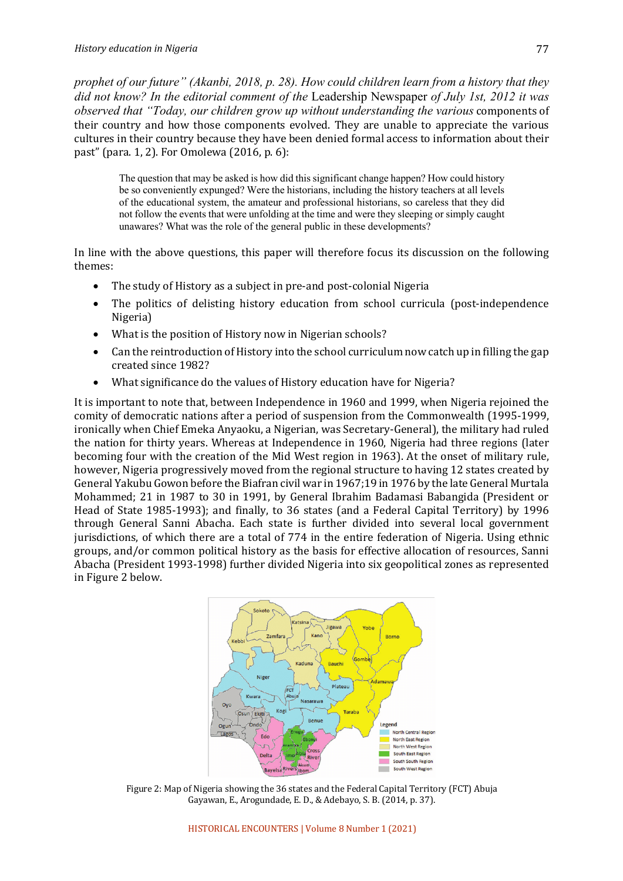*prophet of our future" (Akanbi, 2018, p. 28). How could children learn from a history that they did not know? In the editorial comment of the* Leadership Newspaper *of July 1st, 2012 it was observed that "Today, our children grow up without understanding the various components of* their country and how those components evolved. They are unable to appreciate the various cultures in their country because they have been denied formal access to information about their past" (para. 1, 2). For Omolewa  $(2016, p. 6)$ :

The question that may be asked is how did this significant change happen? How could history be so conveniently expunged? Were the historians, including the history teachers at all levels of the educational system, the amateur and professional historians, so careless that they did not follow the events that were unfolding at the time and were they sleeping or simply caught unawares? What was the role of the general public in these developments?

In line with the above questions, this paper will therefore focus its discussion on the following themes:

- The study of History as a subject in pre-and post-colonial Nigeria
- The politics of delisting history education from school curricula (post-independence Nigeria)
- What is the position of History now in Nigerian schools?
- Can the reintroduction of History into the school curriculum now catch up in filling the gap created since 1982?
- What significance do the values of History education have for Nigeria?

It is important to note that, between Independence in 1960 and 1999, when Nigeria rejoined the comity of democratic nations after a period of suspension from the Commonwealth (1995-1999, ironically when Chief Emeka Anyaoku, a Nigerian, was Secretary-General), the military had ruled the nation for thirty years. Whereas at Independence in 1960, Nigeria had three regions (later becoming four with the creation of the Mid West region in 1963). At the onset of military rule, however, Nigeria progressively moved from the regional structure to having 12 states created by General Yakubu Gowon before the Biafran civil war in 1967;19 in 1976 by the late General Murtala Mohammed; 21 in 1987 to 30 in 1991, by General Ibrahim Badamasi Babangida (President or Head of State 1985-1993); and finally, to 36 states (and a Federal Capital Territory) by 1996 through General Sanni Abacha. Each state is further divided into several local government jurisdictions, of which there are a total of 774 in the entire federation of Nigeria. Using ethnic groups, and/or common political history as the basis for effective allocation of resources, Sanni Abacha (President 1993-1998) further divided Nigeria into six geopolitical zones as represented in Figure 2 below.



Figure 2: Map of Nigeria showing the 36 states and the Federal Capital Territory (FCT) Abuja Gayawan, E., Arogundade, E. D., & Adebayo, S. B. (2014, p. 37).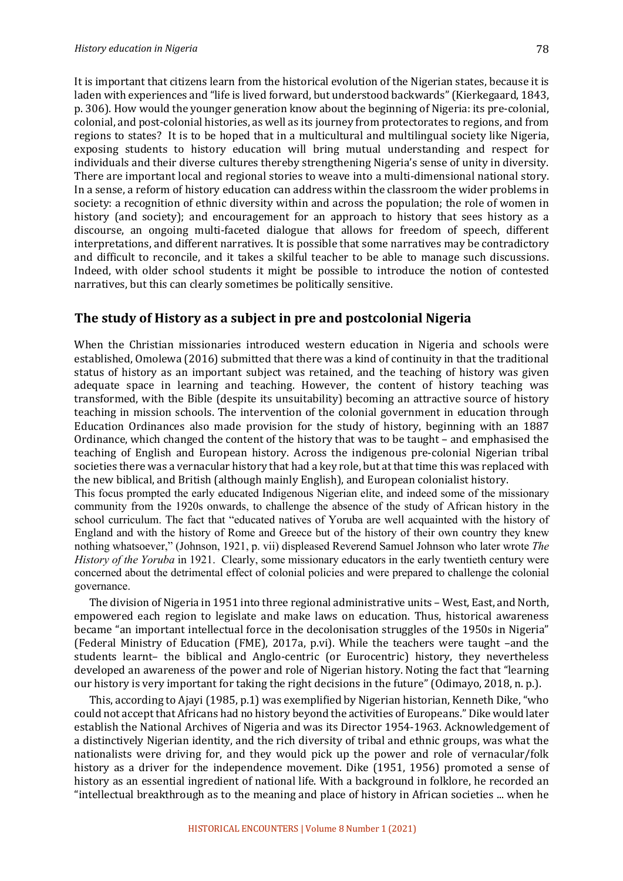It is important that citizens learn from the historical evolution of the Nigerian states, because it is laden with experiences and "life is lived forward, but understood backwards" (Kierkegaard, 1843, p. 306). How would the younger generation know about the beginning of Nigeria: its pre-colonial, colonial, and post-colonial histories, as well as its journey from protectorates to regions, and from regions to states? It is to be hoped that in a multicultural and multilingual society like Nigeria, exposing students to history education will bring mutual understanding and respect for individuals and their diverse cultures thereby strengthening Nigeria's sense of unity in diversity. There are important local and regional stories to weave into a multi-dimensional national story. In a sense, a reform of history education can address within the classroom the wider problems in society: a recognition of ethnic diversity within and across the population; the role of women in history (and society); and encouragement for an approach to history that sees history as a discourse, an ongoing multi-faceted dialogue that allows for freedom of speech, different interpretations, and different narratives. It is possible that some narratives may be contradictory and difficult to reconcile, and it takes a skilful teacher to be able to manage such discussions. Indeed, with older school students it might be possible to introduce the notion of contested narratives, but this can clearly sometimes be politically sensitive.

#### The study of History as a subject in pre and postcolonial Nigeria

When the Christian missionaries introduced western education in Nigeria and schools were established, Omolewa (2016) submitted that there was a kind of continuity in that the traditional status of history as an important subject was retained, and the teaching of history was given adequate space in learning and teaching. However, the content of history teaching was transformed, with the Bible (despite its unsuitability) becoming an attractive source of history teaching in mission schools. The intervention of the colonial government in education through Education Ordinances also made provision for the study of history, beginning with an 1887 Ordinance, which changed the content of the history that was to be taught – and emphasised the teaching of English and European history. Across the indigenous pre-colonial Nigerian tribal societies there was a vernacular history that had a key role, but at that time this was replaced with the new biblical, and British (although mainly English), and European colonialist history. This focus prompted the early educated Indigenous Nigerian elite, and indeed some of the missionary

community from the 1920s onwards, to challenge the absence of the study of African history in the school curriculum. The fact that "educated natives of Yoruba are well acquainted with the history of England and with the history of Rome and Greece but of the history of their own country they knew nothing whatsoever," (Johnson, 1921, p. vii) displeased Reverend Samuel Johnson who later wrote *The History of the Yoruba* in 1921. Clearly, some missionary educators in the early twentieth century were concerned about the detrimental effect of colonial policies and were prepared to challenge the colonial governance.

The division of Nigeria in 1951 into three regional administrative units – West, East, and North, empowered each region to legislate and make laws on education. Thus, historical awareness became "an important intellectual force in the decolonisation struggles of the 1950s in Nigeria" (Federal Ministry of Education (FME), 2017a, p.vi). While the teachers were taught -and the students learnt– the biblical and Anglo-centric (or Eurocentric) history, they nevertheless developed an awareness of the power and role of Nigerian history. Noting the fact that "learning our history is very important for taking the right decisions in the future" (Odimayo, 2018, n. p.).

This, according to Ajayi (1985, p.1) was exemplified by Nigerian historian, Kenneth Dike, "who could not accept that Africans had no history beyond the activities of Europeans." Dike would later establish the National Archives of Nigeria and was its Director 1954-1963. Acknowledgement of a distinctively Nigerian identity, and the rich diversity of tribal and ethnic groups, was what the nationalists were driving for, and they would pick up the power and role of vernacular/folk history as a driver for the independence movement. Dike (1951, 1956) promoted a sense of history as an essential ingredient of national life. With a background in folklore, he recorded an "intellectual breakthrough as to the meaning and place of history in African societies ... when he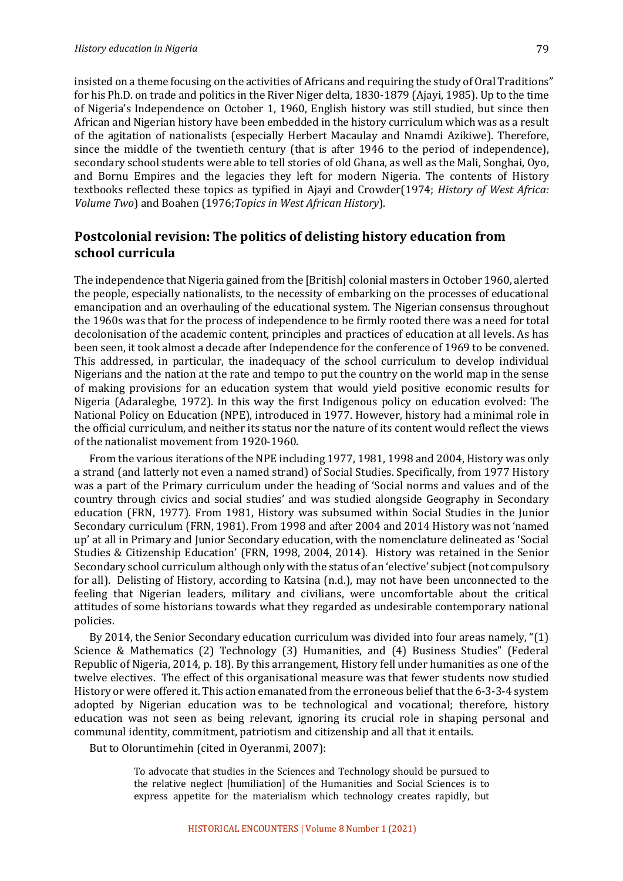insisted on a theme focusing on the activities of Africans and requiring the study of Oral Traditions" for his Ph.D. on trade and politics in the River Niger delta, 1830-1879 (Ajayi, 1985). Up to the time of Nigeria's Independence on October 1, 1960, English history was still studied, but since then African and Nigerian history have been embedded in the history curriculum which was as a result of the agitation of nationalists (especially Herbert Macaulay and Nnamdi Azikiwe). Therefore, since the middle of the twentieth century (that is after 1946 to the period of independence), secondary school students were able to tell stories of old Ghana, as well as the Mali, Songhai, Oyo, and Bornu Empires and the legacies they left for modern Nigeria. The contents of History textbooks reflected these topics as typified in Ajayi and Crowder(1974; *History of West Africa: Volume Two*) and Boahen (1976; Topics in West African History).

## **Postcolonial revision: The politics of delisting history education from school curricula**

The independence that Nigeria gained from the [British] colonial masters in October 1960, alerted the people, especially nationalists, to the necessity of embarking on the processes of educational emancipation and an overhauling of the educational system. The Nigerian consensus throughout the 1960s was that for the process of independence to be firmly rooted there was a need for total decolonisation of the academic content, principles and practices of education at all levels. As has been seen, it took almost a decade after Independence for the conference of 1969 to be convened. This addressed, in particular, the inadequacy of the school curriculum to develop individual Nigerians and the nation at the rate and tempo to put the country on the world map in the sense of making provisions for an education system that would yield positive economic results for Nigeria (Adaralegbe, 1972). In this way the first Indigenous policy on education evolved: The National Policy on Education (NPE), introduced in 1977. However, history had a minimal role in the official curriculum, and neither its status nor the nature of its content would reflect the views of the nationalist movement from 1920-1960.

From the various iterations of the NPE including 1977, 1981, 1998 and 2004, History was only a strand (and latterly not even a named strand) of Social Studies. Specifically, from 1977 History was a part of the Primary curriculum under the heading of 'Social norms and values and of the country through civics and social studies' and was studied alongside Geography in Secondary education (FRN, 1977). From 1981, History was subsumed within Social Studies in the Junior Secondary curriculum (FRN, 1981). From 1998 and after 2004 and 2014 History was not 'named up' at all in Primary and Junior Secondary education, with the nomenclature delineated as 'Social Studies & Citizenship Education' (FRN, 1998, 2004, 2014). History was retained in the Senior Secondary school curriculum although only with the status of an 'elective' subject (not compulsory for all). Delisting of History, according to Katsina (n.d.), may not have been unconnected to the feeling that Nigerian leaders, military and civilians, were uncomfortable about the critical attitudes of some historians towards what they regarded as undesirable contemporary national policies. 

By 2014, the Senior Secondary education curriculum was divided into four areas namely, " $(1)$ Science & Mathematics (2) Technology (3) Humanities, and (4) Business Studies" (Federal Republic of Nigeria, 2014, p. 18). By this arrangement, History fell under humanities as one of the twelve electives. The effect of this organisational measure was that fewer students now studied History or were offered it. This action emanated from the erroneous belief that the 6-3-3-4 system adopted by Nigerian education was to be technological and vocational; therefore, history education was not seen as being relevant, ignoring its crucial role in shaping personal and communal identity, commitment, patriotism and citizenship and all that it entails.

But to Oloruntimehin (cited in Oyeranmi, 2007):

To advocate that studies in the Sciences and Technology should be pursued to the relative neglect [humiliation] of the Humanities and Social Sciences is to express appetite for the materialism which technology creates rapidly, but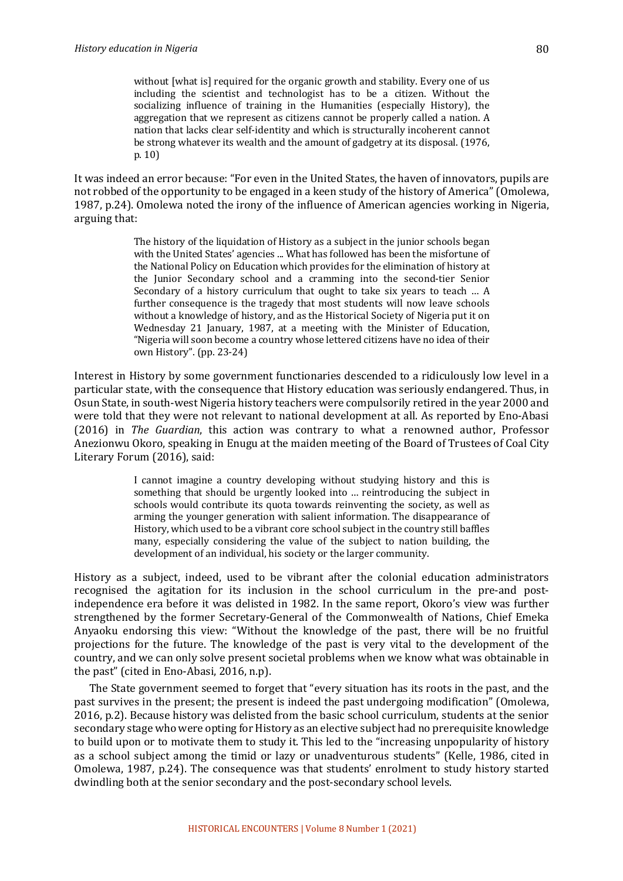without [what is] required for the organic growth and stability. Every one of us including the scientist and technologist has to be a citizen. Without the socializing influence of training in the Humanities (especially History), the aggregation that we represent as citizens cannot be properly called a nation. A nation that lacks clear self-identity and which is structurally incoherent cannot be strong whatever its wealth and the amount of gadgetry at its disposal. (1976, p. 10)

It was indeed an error because: "For even in the United States, the haven of innovators, pupils are not robbed of the opportunity to be engaged in a keen study of the history of America" (Omolewa, 1987, p.24). Omolewa noted the irony of the influence of American agencies working in Nigeria, arguing that:

> The history of the liquidation of History as a subject in the junior schools began with the United States' agencies ... What has followed has been the misfortune of the National Policy on Education which provides for the elimination of history at the Junior Secondary school and a cramming into the second-tier Senior Secondary of a history curriculum that ought to take six years to teach ... A further consequence is the tragedy that most students will now leave schools without a knowledge of history, and as the Historical Society of Nigeria put it on Wednesday 21 January, 1987, at a meeting with the Minister of Education, "Nigeria will soon become a country whose lettered citizens have no idea of their own History". (pp. 23-24)

Interest in History by some government functionaries descended to a ridiculously low level in a particular state, with the consequence that History education was seriously endangered. Thus, in Osun State, in south-west Nigeria history teachers were compulsorily retired in the year 2000 and were told that they were not relevant to national development at all. As reported by Eno-Abasi (2016) in *The Guardian*, this action was contrary to what a renowned author, Professor Anezionwu Okoro, speaking in Enugu at the maiden meeting of the Board of Trustees of Coal City Literary Forum (2016), said:

> I cannot imagine a country developing without studying history and this is something that should be urgently looked into ... reintroducing the subject in schools would contribute its quota towards reinventing the society, as well as arming the vounger generation with salient information. The disappearance of History, which used to be a vibrant core school subject in the country still baffles many, especially considering the value of the subject to nation building, the development of an individual, his society or the larger community.

History as a subject, indeed, used to be vibrant after the colonial education administrators recognised the agitation for its inclusion in the school curriculum in the pre-and postindependence era before it was delisted in 1982. In the same report, Okoro's view was further strengthened by the former Secretary-General of the Commonwealth of Nations, Chief Emeka Anyaoku endorsing this view: "Without the knowledge of the past, there will be no fruitful projections for the future. The knowledge of the past is very vital to the development of the country, and we can only solve present societal problems when we know what was obtainable in the past" (cited in Eno-Abasi, 2016, n.p).

The State government seemed to forget that "every situation has its roots in the past, and the past survives in the present; the present is indeed the past undergoing modification" (Omolewa, 2016, p.2). Because history was delisted from the basic school curriculum, students at the senior secondary stage who were opting for History as an elective subject had no prerequisite knowledge to build upon or to motivate them to study it. This led to the "increasing unpopularity of history as a school subject among the timid or lazy or unadventurous students" (Kelle, 1986, cited in Omolewa, 1987, p.24). The consequence was that students' enrolment to study history started dwindling both at the senior secondary and the post-secondary school levels.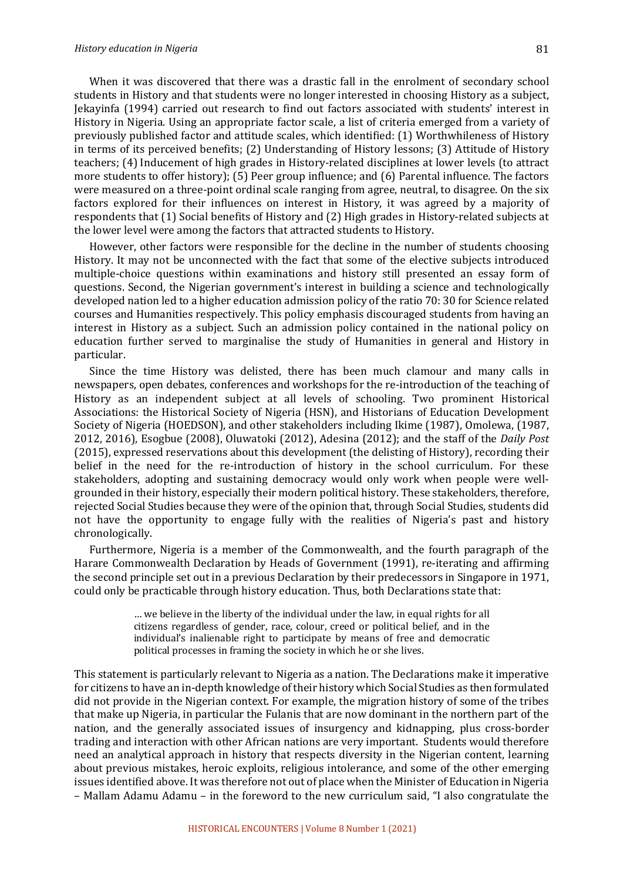When it was discovered that there was a drastic fall in the enrolment of secondary school students in History and that students were no longer interested in choosing History as a subject, Jekayinfa (1994) carried out research to find out factors associated with students' interest in History in Nigeria. Using an appropriate factor scale, a list of criteria emerged from a variety of previously published factor and attitude scales, which identified: (1) Worthwhileness of History in terms of its perceived benefits;  $(2)$  Understanding of History lessons;  $(3)$  Attitude of History teachers; (4) Inducement of high grades in History-related disciplines at lower levels (to attract more students to offer history);  $(5)$  Peer group influence; and  $(6)$  Parental influence. The factors were measured on a three-point ordinal scale ranging from agree, neutral, to disagree. On the six factors explored for their influences on interest in History, it was agreed by a majority of respondents that (1) Social benefits of History and (2) High grades in History-related subjects at the lower level were among the factors that attracted students to History.

However, other factors were responsible for the decline in the number of students choosing History. It may not be unconnected with the fact that some of the elective subjects introduced multiple-choice questions within examinations and history still presented an essay form of questions. Second, the Nigerian government's interest in building a science and technologically developed nation led to a higher education admission policy of the ratio 70: 30 for Science related courses and Humanities respectively. This policy emphasis discouraged students from having an interest in History as a subject. Such an admission policy contained in the national policy on education further served to marginalise the study of Humanities in general and History in particular. 

Since the time History was delisted, there has been much clamour and many calls in newspapers, open debates, conferences and workshops for the re-introduction of the teaching of History as an independent subject at all levels of schooling. Two prominent Historical Associations: the Historical Society of Nigeria (HSN), and Historians of Education Development Society of Nigeria (HOEDSON), and other stakeholders including Ikime (1987), Omolewa, (1987, 2012, 2016), Esogbue (2008), Oluwatoki (2012), Adesina (2012); and the staff of the *Daily Post* (2015), expressed reservations about this development (the delisting of History), recording their belief in the need for the re-introduction of history in the school curriculum. For these stakeholders, adopting and sustaining democracy would only work when people were wellgrounded in their history, especially their modern political history. These stakeholders, therefore, rejected Social Studies because they were of the opinion that, through Social Studies, students did not have the opportunity to engage fully with the realities of Nigeria's past and history chronologically. 

Furthermore, Nigeria is a member of the Commonwealth, and the fourth paragraph of the Harare Commonwealth Declaration by Heads of Government (1991), re-iterating and affirming the second principle set out in a previous Declaration by their predecessors in Singapore in 1971, could only be practicable through history education. Thus, both Declarations state that:

> … we believe in the liberty of the individual under the law, in equal rights for all citizens regardless of gender, race, colour, creed or political belief, and in the individual's inalienable right to participate by means of free and democratic political processes in framing the society in which he or she lives.

This statement is particularly relevant to Nigeria as a nation. The Declarations make it imperative for citizens to have an in-depth knowledge of their history which Social Studies as then formulated did not provide in the Nigerian context. For example, the migration history of some of the tribes that make up Nigeria, in particular the Fulanis that are now dominant in the northern part of the nation, and the generally associated issues of insurgency and kidnapping, plus cross-border trading and interaction with other African nations are very important. Students would therefore need an analytical approach in history that respects diversity in the Nigerian content, learning about previous mistakes, heroic exploits, religious intolerance, and some of the other emerging issues identified above. It was therefore not out of place when the Minister of Education in Nigeria  $-$  Mallam Adamu Adamu  $-$  in the foreword to the new curriculum said, "I also congratulate the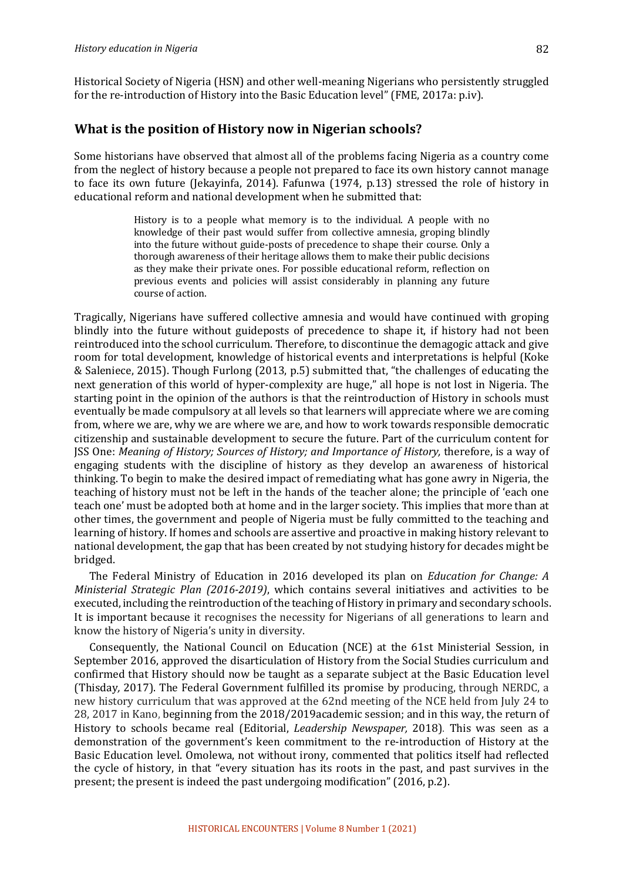Historical Society of Nigeria (HSN) and other well-meaning Nigerians who persistently struggled for the re-introduction of History into the Basic Education level" (FME, 2017a: p.iv).

#### **What is the position of History now in Nigerian schools?**

Some historians have observed that almost all of the problems facing Nigeria as a country come from the neglect of history because a people not prepared to face its own history cannot manage to face its own future (Jekayinfa, 2014). Fafunwa  $(1974, p.13)$  stressed the role of history in educational reform and national development when he submitted that:

> History is to a people what memory is to the individual. A people with no knowledge of their past would suffer from collective amnesia, groping blindly into the future without guide-posts of precedence to shape their course. Only a thorough awareness of their heritage allows them to make their public decisions as they make their private ones. For possible educational reform, reflection on previous events and policies will assist considerably in planning any future course of action.

Tragically, Nigerians have suffered collective amnesia and would have continued with groping blindly into the future without guideposts of precedence to shape it, if history had not been reintroduced into the school curriculum. Therefore, to discontinue the demagogic attack and give room for total development, knowledge of historical events and interpretations is helpful (Koke & Saleniece, 2015). Though Furlong (2013, p.5) submitted that, "the challenges of educating the next generation of this world of hyper-complexity are huge," all hope is not lost in Nigeria. The starting point in the opinion of the authors is that the reintroduction of History in schools must eventually be made compulsory at all levels so that learners will appreciate where we are coming from, where we are, why we are where we are, and how to work towards responsible democratic citizenship and sustainable development to secure the future. Part of the curriculum content for JSS One: *Meaning of History; Sources of History; and Importance of History, therefore, is a way of* engaging students with the discipline of history as they develop an awareness of historical thinking. To begin to make the desired impact of remediating what has gone awry in Nigeria, the teaching of history must not be left in the hands of the teacher alone; the principle of 'each one teach one' must be adopted both at home and in the larger society. This implies that more than at other times, the government and people of Nigeria must be fully committed to the teaching and learning of history. If homes and schools are assertive and proactive in making history relevant to national development, the gap that has been created by not studying history for decades might be bridged. 

The Federal Ministry of Education in 2016 developed its plan on *Education for Change: A Ministerial Strategic Plan (2016-2019)*, which contains several initiatives and activities to be executed, including the reintroduction of the teaching of History in primary and secondary schools. It is important because it recognises the necessity for Nigerians of all generations to learn and know the history of Nigeria's unity in diversity.

Consequently, the National Council on Education (NCE) at the 61st Ministerial Session, in September 2016, approved the disarticulation of History from the Social Studies curriculum and confirmed that History should now be taught as a separate subject at the Basic Education level (Thisday, 2017). The Federal Government fulfilled its promise by producing, through NERDC, a new history curriculum that was approved at the 62nd meeting of the NCE held from July 24 to 28, 2017 in Kano, beginning from the 2018/2019academic session; and in this way, the return of History to schools became real (Editorial, *Leadership Newspaper*, 2018). This was seen as a demonstration of the government's keen commitment to the re-introduction of History at the Basic Education level. Omolewa, not without irony, commented that politics itself had reflected the cycle of history, in that "every situation has its roots in the past, and past survives in the present; the present is indeed the past undergoing modification" (2016, p.2).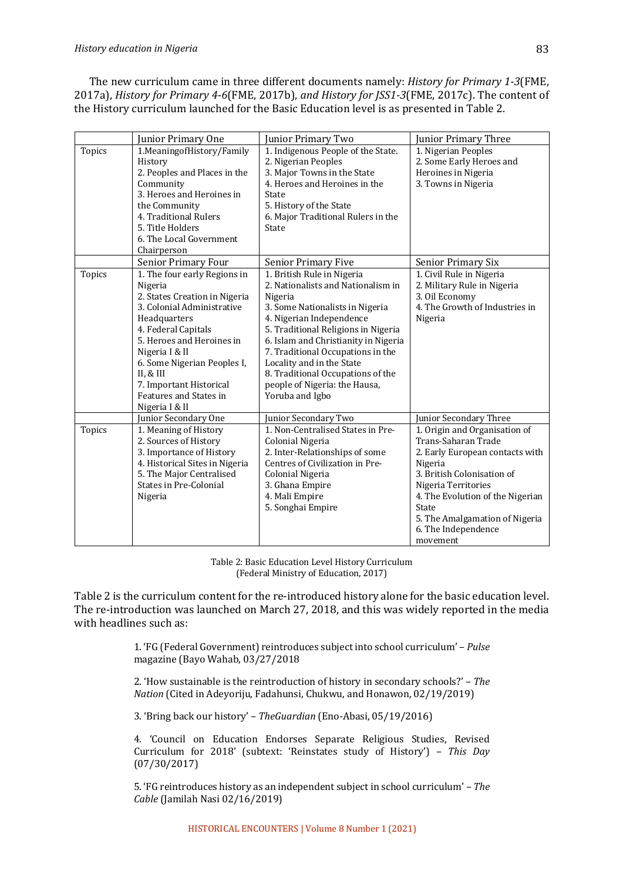The new curriculum came in three different documents namely: *History for Primary 1-3*(FME, 2017a), *History for Primary 4-6*(FME, 2017b), *and History for JSS1-3*(FME, 2017c). The content of the History curriculum launched for the Basic Education level is as presented in Table 2.

|               | Junior Primary One             | Junior Primary Two                   | Junior Primary Three             |
|---------------|--------------------------------|--------------------------------------|----------------------------------|
| <b>Topics</b> | 1. Meaning of History/Family   | 1. Indigenous People of the State.   | 1. Nigerian Peoples              |
|               | History                        | 2. Nigerian Peoples                  | 2. Some Early Heroes and         |
|               | 2. Peoples and Places in the   | 3. Major Towns in the State          | Heroines in Nigeria              |
|               | Community                      | 4. Heroes and Heroines in the        | 3. Towns in Nigeria              |
|               | 3. Heroes and Heroines in      | State                                |                                  |
|               | the Community                  | 5. History of the State              |                                  |
|               | 4. Traditional Rulers          | 6. Major Traditional Rulers in the   |                                  |
|               | 5. Title Holders               | State                                |                                  |
|               | 6. The Local Government        |                                      |                                  |
|               | Chairperson                    |                                      |                                  |
|               | Senior Primary Four            | <b>Senior Primary Five</b>           | <b>Senior Primary Six</b>        |
| <b>Topics</b> | 1. The four early Regions in   | 1. British Rule in Nigeria           | 1. Civil Rule in Nigeria         |
|               | Nigeria                        | 2. Nationalists and Nationalism in   | 2. Military Rule in Nigeria      |
|               | 2. States Creation in Nigeria  | Nigeria                              | 3. Oil Economy                   |
|               | 3. Colonial Administrative     | 3. Some Nationalists in Nigeria      | 4. The Growth of Industries in   |
|               | Headquarters                   | 4. Nigerian Independence             | Nigeria                          |
|               | 4. Federal Capitals            | 5. Traditional Religions in Nigeria  |                                  |
|               | 5. Heroes and Heroines in      | 6. Islam and Christianity in Nigeria |                                  |
|               | Nigeria I & II                 | 7. Traditional Occupations in the    |                                  |
|               | 6. Some Nigerian Peoples I,    | Locality and in the State            |                                  |
|               | II, & III                      | 8. Traditional Occupations of the    |                                  |
|               | 7. Important Historical        | people of Nigeria: the Hausa,        |                                  |
|               | Features and States in         | Yoruba and Igbo                      |                                  |
|               | Nigeria I & II                 |                                      |                                  |
|               | Junior Secondary One           | Junior Secondary Two                 | Junior Secondary Three           |
| <b>Topics</b> | 1. Meaning of History          | 1. Non-Centralised States in Pre-    | 1. Origin and Organisation of    |
|               | 2. Sources of History          | Colonial Nigeria                     | Trans-Saharan Trade              |
|               | 3. Importance of History       | 2. Inter-Relationships of some       | 2. Early European contacts with  |
|               | 4. Historical Sites in Nigeria | Centres of Civilization in Pre-      | Nigeria                          |
|               | 5. The Major Centralised       | Colonial Nigeria                     | 3. British Colonisation of       |
|               | <b>States in Pre-Colonial</b>  | 3. Ghana Empire                      | Nigeria Territories              |
|               | Nigeria                        | 4. Mali Empire                       | 4. The Evolution of the Nigerian |
|               |                                | 5. Songhai Empire                    | State                            |
|               |                                |                                      | 5. The Amalgamation of Nigeria   |
|               |                                |                                      | 6. The Independence              |
|               |                                |                                      | movement                         |

Table 2: Basic Education Level History Curriculum (Federal Ministry of Education, 2017)

Table 2 is the curriculum content for the re-introduced history alone for the basic education level. The re-introduction was launched on March 27, 2018, and this was widely reported in the media with headlines such as:

> 1. 'FG (Federal Government) reintroduces subject into school curriculum' - Pulse magazine (Bayo Wahab, 03/27/2018

> 2. 'How sustainable is the reintroduction of history in secondary schools?' - The *Nation* (Cited in Adeyoriju, Fadahunsi, Chukwu, and Honawon, 02/19/2019)

3. 'Bring back our history' - TheGuardian (Eno-Abasi, 05/19/2016)

4. 'Council on Education Endorses Separate Religious Studies, Revised Curriculum for 2018' (subtext: 'Reinstates study of History') – *This Day* (07/30/2017)

5. 'FG reintroduces history as an independent subject in school curriculum' – The *Cable* (Jamilah Nasi 02/16/2019)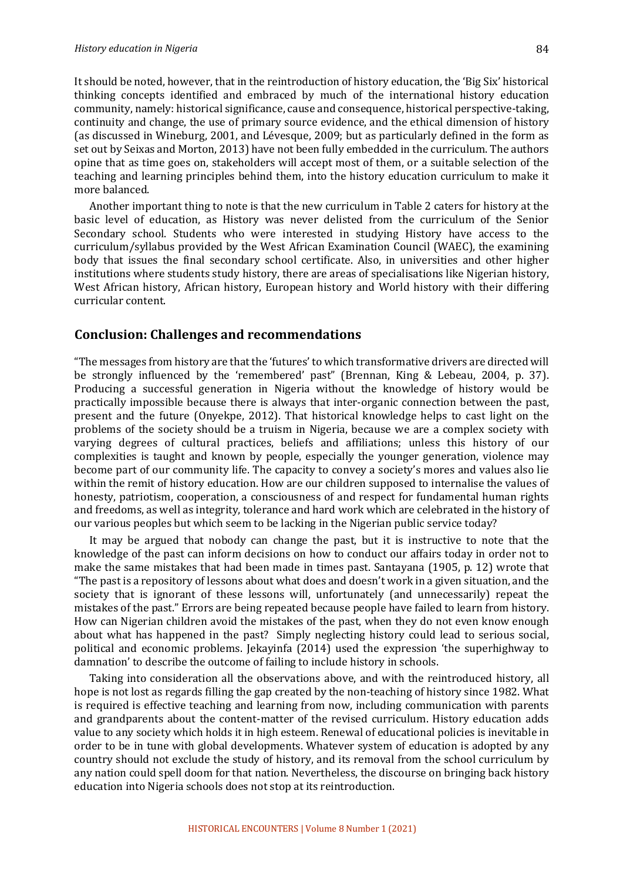It should be noted, however, that in the reintroduction of history education, the 'Big Six' historical thinking concepts identified and embraced by much of the international history education community, namely: historical significance, cause and consequence, historical perspective-taking, continuity and change, the use of primary source evidence, and the ethical dimension of history (as discussed in Wineburg, 2001, and Lévesque, 2009; but as particularly defined in the form as set out by Seixas and Morton, 2013) have not been fully embedded in the curriculum. The authors opine that as time goes on, stakeholders will accept most of them, or a suitable selection of the teaching and learning principles behind them, into the history education curriculum to make it more balanced.

Another important thing to note is that the new curriculum in Table 2 caters for history at the basic level of education, as History was never delisted from the curriculum of the Senior Secondary school. Students who were interested in studying History have access to the curriculum/syllabus provided by the West African Examination Council (WAEC), the examining body that issues the final secondary school certificate. Also, in universities and other higher institutions where students study history, there are areas of specialisations like Nigerian history, West African history, African history, European history and World history with their differing curricular content.

#### **Conclusion: Challenges and recommendations**

"The messages from history are that the 'futures' to which transformative drivers are directed will be strongly influenced by the 'remembered' past" (Brennan, King & Lebeau, 2004, p. 37). Producing a successful generation in Nigeria without the knowledge of history would be practically impossible because there is always that inter-organic connection between the past, present and the future (Onyekpe, 2012). That historical knowledge helps to cast light on the problems of the society should be a truism in Nigeria, because we are a complex society with varying degrees of cultural practices, beliefs and affiliations; unless this history of our complexities is taught and known by people, especially the younger generation, violence may become part of our community life. The capacity to convey a society's mores and values also lie within the remit of history education. How are our children supposed to internalise the values of honesty, patriotism, cooperation, a consciousness of and respect for fundamental human rights and freedoms, as well as integrity, tolerance and hard work which are celebrated in the history of our various peoples but which seem to be lacking in the Nigerian public service today?

It may be argued that nobody can change the past, but it is instructive to note that the knowledge of the past can inform decisions on how to conduct our affairs today in order not to make the same mistakes that had been made in times past. Santayana (1905, p. 12) wrote that "The past is a repository of lessons about what does and doesn't work in a given situation, and the society that is ignorant of these lessons will, unfortunately (and unnecessarily) repeat the mistakes of the past." Errors are being repeated because people have failed to learn from history. How can Nigerian children avoid the mistakes of the past, when they do not even know enough about what has happened in the past? Simply neglecting history could lead to serious social, political and economic problems. Jekayinfa (2014) used the expression 'the superhighway to damnation' to describe the outcome of failing to include history in schools.

Taking into consideration all the observations above, and with the reintroduced history, all hope is not lost as regards filling the gap created by the non-teaching of history since 1982. What is required is effective teaching and learning from now, including communication with parents and grandparents about the content-matter of the revised curriculum. History education adds value to any society which holds it in high esteem. Renewal of educational policies is inevitable in order to be in tune with global developments. Whatever system of education is adopted by any country should not exclude the study of history, and its removal from the school curriculum by any nation could spell doom for that nation. Nevertheless, the discourse on bringing back history education into Nigeria schools does not stop at its reintroduction.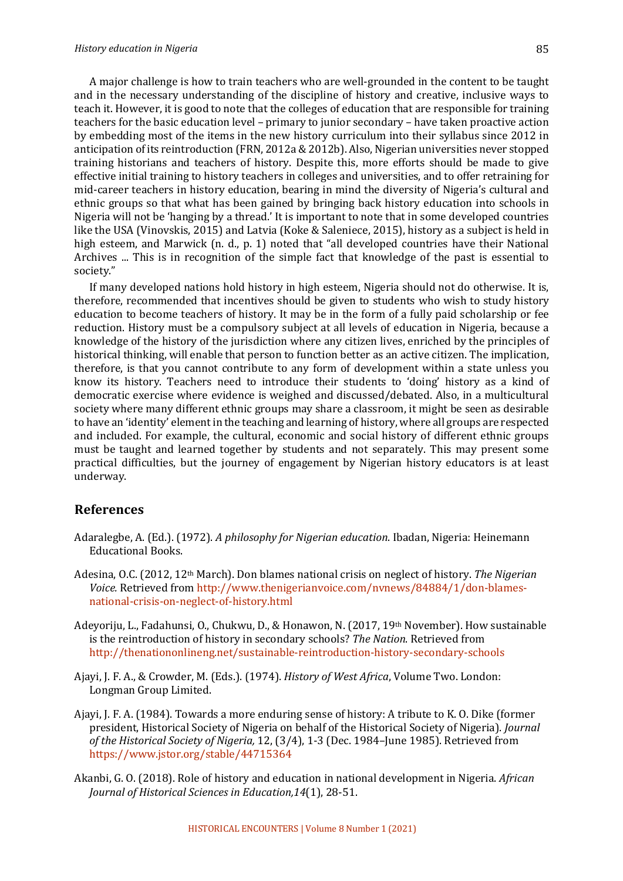A major challenge is how to train teachers who are well-grounded in the content to be taught and in the necessary understanding of the discipline of history and creative, inclusive ways to teach it. However, it is good to note that the colleges of education that are responsible for training teachers for the basic education level – primary to junior secondary – have taken proactive action by embedding most of the items in the new history curriculum into their syllabus since 2012 in anticipation of its reintroduction  $(FRN, 2012a \& 2012b)$ . Also, Nigerian universities never stopped training historians and teachers of history. Despite this, more efforts should be made to give effective initial training to history teachers in colleges and universities, and to offer retraining for mid-career teachers in history education, bearing in mind the diversity of Nigeria's cultural and ethnic groups so that what has been gained by bringing back history education into schools in Nigeria will not be 'hanging by a thread.' It is important to note that in some developed countries like the USA (Vinovskis, 2015) and Latvia (Koke & Saleniece, 2015), history as a subject is held in high esteem, and Marwick (n. d., p. 1) noted that "all developed countries have their National Archives ... This is in recognition of the simple fact that knowledge of the past is essential to society."

If many developed nations hold history in high esteem, Nigeria should not do otherwise. It is, therefore, recommended that incentives should be given to students who wish to study history education to become teachers of history. It may be in the form of a fully paid scholarship or fee reduction. History must be a compulsory subject at all levels of education in Nigeria, because a knowledge of the history of the jurisdiction where any citizen lives, enriched by the principles of historical thinking, will enable that person to function better as an active citizen. The implication, therefore, is that you cannot contribute to any form of development within a state unless you know its history. Teachers need to introduce their students to 'doing' history as a kind of democratic exercise where evidence is weighed and discussed/debated. Also, in a multicultural society where many different ethnic groups may share a classroom, it might be seen as desirable to have an 'identity' element in the teaching and learning of history, where all groups are respected and included. For example, the cultural, economic and social history of different ethnic groups must be taught and learned together by students and not separately. This may present some practical difficulties, but the journey of engagement by Nigerian history educators is at least underway. 

### **References**

- Adaralegbe, A. (Ed.). (1972). A philosophy for Nigerian education. Ibadan, Nigeria: Heinemann Educational Books.
- Adesina, O.C. (2012, 12<sup>th</sup> March). Don blames national crisis on neglect of history. *The Nigerian Voice.* Retrieved from http://www.thenigerianvoice.com/nvnews/84884/1/don-blamesnational-crisis-on-neglect-of-history.html
- Adevoriju, L., Fadahunsi, O., Chukwu, D., & Honawon, N. (2017, 19<sup>th</sup> November). How sustainable is the reintroduction of history in secondary schools? The Nation. Retrieved from http://thenationonlineng.net/sustainable-reintroduction-history-secondary-schools
- Ajayi, J. F. A., & Crowder, M. (Eds.). (1974). *History of West Africa*, Volume Two. London: Longman Group Limited.
- Ajayi, J. F. A. (1984). Towards a more enduring sense of history: A tribute to K. O. Dike (former president, Historical Society of Nigeria on behalf of the Historical Society of Nigeria). *Journal* of the Historical Society of Nigeria, 12, (3/4), 1-3 (Dec. 1984-June 1985). Retrieved from https://www.jstor.org/stable/44715364
- Akanbi, G. O. (2018). Role of history and education in national development in Nigeria. *African Journal of Historical Sciences in Education,14*(1), 28-51.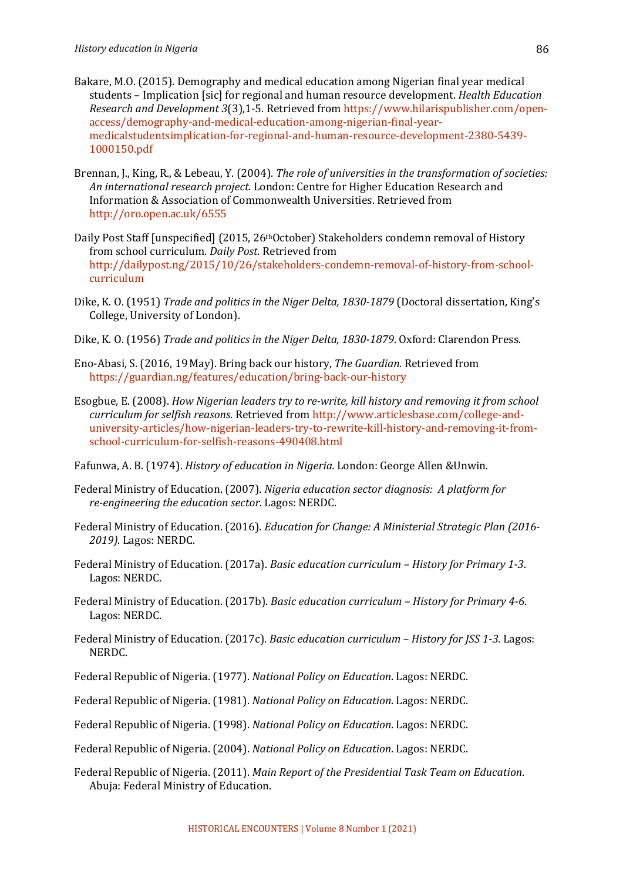- Bakare, M.O. (2015). Demography and medical education among Nigerian final year medical students – Implication [sic] for regional and human resource development. *Health Education Research and Development* 3(3),1-5. Retrieved from https://www.hilarispublisher.com/openaccess/demography-and-medical-education-among-nigerian-final-yearmedicalstudentsimplication-for-regional-and-human-resource-development-2380-5439- 1000150.pdf
- Brennan, J., King, R., & Lebeau, Y. (2004). *The role of universities in the transformation of societies:* An international research project. London: Centre for Higher Education Research and Information & Association of Commonwealth Universities. Retrieved from http://oro.open.ac.uk/6555
- Daily Post Staff [unspecified] (2015, 26<sup>th</sup>October) Stakeholders condemn removal of History from school curriculum. *Daily Post*. Retrieved from http://dailypost.ng/2015/10/26/stakeholders-condemn-removal-of-history-from-schoolcurriculum
- Dike, K. O. (1951) *Trade and politics in the Niger Delta, 1830-1879* (Doctoral dissertation, King's College, University of London).
- Dike, K. O. (1956) *Trade and politics in the Niger Delta, 1830-1879*. Oxford: Clarendon Press.
- Eno-Abasi, S. (2016, 19May). Bring back our history, *The Guardian.* Retrieved from https://guardian.ng/features/education/bring-back-our-history
- Esogbue, E. (2008). *How Nigerian leaders try to re-write, kill history and removing it from school curriculum for selfish reasons*. Retrieved from http://www.articlesbase.com/college-anduniversity-articles/how-nigerian-leaders-try-to-rewrite-kill-history-and-removing-it-fromschool-curriculum-for-selfish-reasons-490408.html

Fafunwa, A. B. (1974). *History of education in Nigeria.* London: George Allen &Unwin.

- Federal Ministry of Education. (2007). *Nigeria education sector diagnosis: A platform for re-engineering the education sector.* Lagos: NERDC.
- Federal Ministry of Education. (2016). *Education for Change: A Ministerial Strategic Plan (2016-2019)*. Lagos: NERDC.
- Federal Ministry of Education. (2017a). *Basic education curriculum History for Primary 1-3*. Lagos: NERDC.
- Federal Ministry of Education. (2017b). *Basic education curriculum History for Primary 4-6*. Lagos: NERDC.
- Federal Ministry of Education. (2017c). *Basic education curriculum History for JSS 1-3*. Lagos: NERDC.
- Federal Republic of Nigeria. (1977). *National Policy on Education*. Lagos: NERDC.
- Federal Republic of Nigeria. (1981). *National Policy on Education*. Lagos: NERDC.
- Federal Republic of Nigeria. (1998). *National Policy on Education*. Lagos: NERDC.
- Federal Republic of Nigeria. (2004). *National Policy on Education*. Lagos: NERDC.
- Federal Republic of Nigeria. (2011). *Main Report of the Presidential Task Team on Education*. Abuja: Federal Ministry of Education.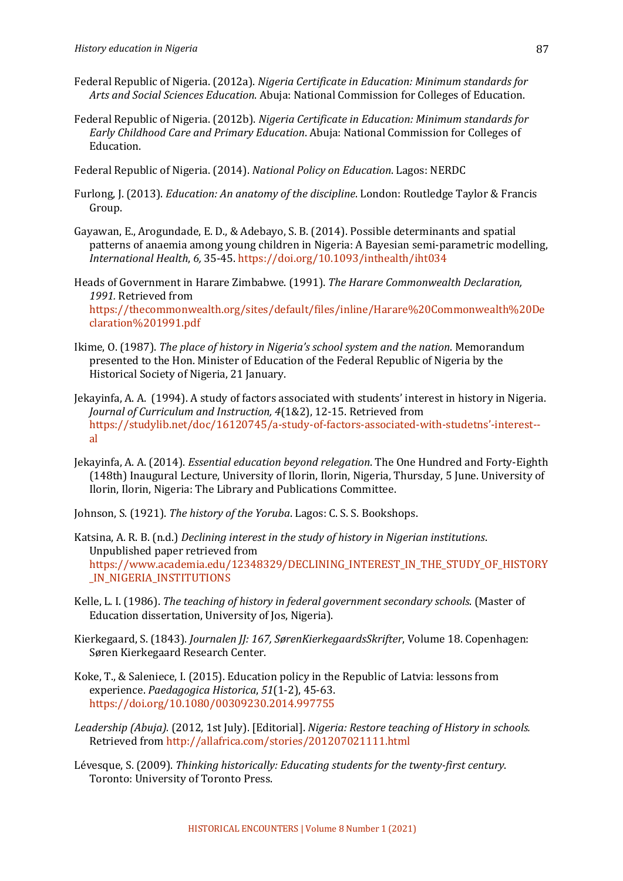- Federal Republic of Nigeria. (2012a). *Nigeria Certificate in Education: Minimum standards for* Arts and Social Sciences Education. Abuja: National Commission for Colleges of Education.
- Federal Republic of Nigeria. (2012b). *Nigeria Certificate in Education: Minimum standards for Early Childhood Care and Primary Education*. Abuja: National Commission for Colleges of Education.
- Federal Republic of Nigeria. (2014). *National Policy on Education*. Lagos: NERDC
- Furlong, I. (2013). *Education: An anatomy of the discipline*. London: Routledge Taylor & Francis Group.
- Gayawan, E., Arogundade, E. D., & Adebayo, S. B. (2014). Possible determinants and spatial patterns of anaemia among young children in Nigeria: A Bayesian semi-parametric modelling, *International Health*, *6,* 35-45. https://doi.org/10.1093/inthealth/iht034
- Heads of Government in Harare Zimbabwe. (1991). The Harare Commonwealth Declaration, 1991. Retrieved from https://thecommonwealth.org/sites/default/files/inline/Harare%20Commonwealth%20De claration%201991.pdf
- Ikime, O. (1987). *The place of history in Nigeria's school system and the nation*. Memorandum presented to the Hon. Minister of Education of the Federal Republic of Nigeria by the Historical Society of Nigeria, 21 January.
- Jekayinfa, A. A. (1994). A study of factors associated with students' interest in history in Nigeria. *Journal of Curriculum and Instruction, 4(1&2), 12-15. Retrieved from* https://studylib.net/doc/16120745/a-study-of-factors-associated-with-studetns'-interest- al
- Jekayinfa, A. A. (2014). *Essential education beyond relegation*. The One Hundred and Forty-Eighth (148th) Inaugural Lecture, University of Ilorin, Ilorin, Nigeria, Thursday, 5 June, University of Ilorin, Ilorin, Nigeria: The Library and Publications Committee.
- Johnson, S. (1921). *The history of the Yoruba*. Lagos: C. S. S. Bookshops.
- Katsina, A. R. B. (n.d.) *Declining interest in the study of history in Nigerian institutions.* Unpublished paper retrieved from https://www.academia.edu/12348329/DECLINING\_INTEREST\_IN\_THE\_STUDY\_OF\_HISTORY \_IN\_NIGERIA\_INSTITUTIONS
- Kelle, L. I. (1986). *The teaching of history in federal government secondary schools*. (Master of Education dissertation, University of Jos, Nigeria).
- Kierkegaard, S. (1843). *Journalen JJ: 167, SørenKierkegaardsSkrifter*, Volume 18. Copenhagen: Søren Kierkegaard Research Center.
- Koke, T., & Saleniece, I. (2015). Education policy in the Republic of Latvia: lessons from experience. *Paedagogica Historica*, *51*(1-2), 45-63. https://doi.org/10.1080/00309230.2014.997755
- Leadership (Abuja). (2012, 1st *July*). [Editorial]. *Nigeria: Restore teaching of History in schools.* Retrieved from http://allafrica.com/stories/201207021111.html
- Lévesque, S. (2009). *Thinking historically: Educating students for the twenty-first century.* Toronto: University of Toronto Press.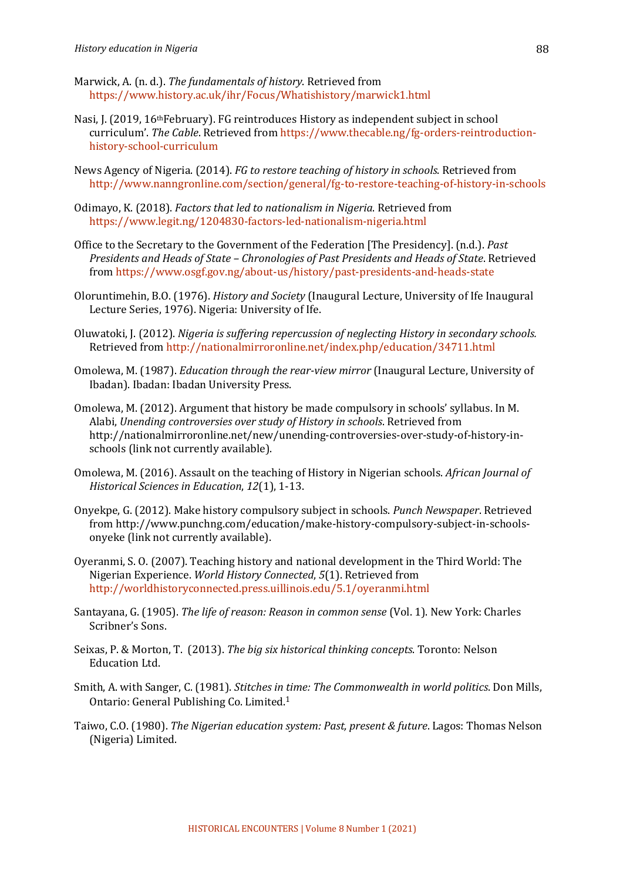- Marwick, A. (n. d.). *The fundamentals of history*. Retrieved from https://www.history.ac.uk/ihr/Focus/Whatishistory/marwick1.html
- Nasi, J. (2019, 16<sup>th</sup>February). FG reintroduces History as independent subject in school curriculum'. *The Cable*. Retrieved from https://www.thecable.ng/fg-orders-reintroductionhistory-school-curriculum
- News Agency of Nigeria. (2014). *FG to restore teaching of history in schools*. Retrieved from http://www.nanngronline.com/section/general/fg-to-restore-teaching-of-history-in-schools
- Odimayo, K. (2018). *Factors that led to nationalism in Nigeria*. Retrieved from https://www.legit.ng/1204830-factors-led-nationalism-nigeria.html
- Office to the Secretary to the Government of the Federation [The Presidency]. (n.d.). *Past Presidents and Heads of State - Chronologies of Past Presidents and Heads of State.* Retrieved from https://www.osgf.gov.ng/about-us/history/past-presidents-and-heads-state
- Oloruntimehin, B.O. (1976). *History and Society* (Inaugural Lecture, University of Ife Inaugural Lecture Series, 1976). Nigeria: University of Ife.
- Oluwatoki, J. (2012). *Nigeria is suffering repercussion of neglecting History in secondary schools.* Retrieved from http://nationalmirroronline.net/index.php/education/34711.html
- Omolewa, M. (1987). *Education through the rear-view mirror* (Inaugural Lecture, University of Ibadan). Ibadan: Ibadan University Press.
- Omolewa, M. (2012). Argument that history be made compulsory in schools' syllabus. In M. Alabi, Unending controversies over study of History in schools. Retrieved from http://nationalmirroronline.net/new/unending-controversies-over-study-of-history-inschools (link not currently available).
- Omolewa, M. (2016). Assault on the teaching of History in Nigerian schools. *African Journal of Historical Sciences in Education, 12(1), 1-13.*
- Onyekpe, G. (2012). Make history compulsory subject in schools. *Punch Newspaper*. Retrieved from http://www.punchng.com/education/make-history-compulsory-subject-in-schoolsonyeke (link not currently available).
- Oyeranmi, S. O. (2007). Teaching history and national development in the Third World: The Nigerian Experience. *World History Connected*, 5(1). Retrieved from http://worldhistoryconnected.press.uillinois.edu/5.1/oyeranmi.html
- Santayana, G. (1905). *The life of reason: Reason in common sense* (Vol. 1). New York: Charles Scribner's Sons.
- Seixas, P. & Morton, T. (2013). The big six historical thinking concepts. Toronto: Nelson Education Ltd.
- Smith, A. with Sanger, C. (1981). *Stitches in time: The Commonwealth in world politics*. Don Mills, Ontario: General Publishing Co. Limited.<sup>1</sup>
- Taiwo, C.O. (1980). *The Nigerian education system: Past, present & future*. Lagos: Thomas Nelson (Nigeria) Limited.